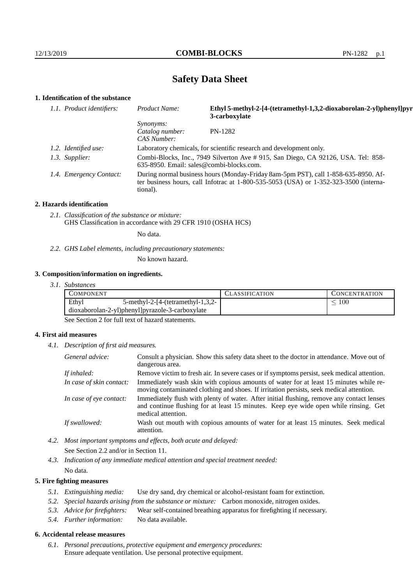# **Safety Data Sheet**

# **1. Identification of the substance**

| 1.1. Product identifiers: | Ethyl 5-methyl-2-[4-(tetramethyl-1,3,2-dioxaborolan-2-yl)phenyl]pyr<br>Product Name:<br>3-carboxylate                                                                                   |                                                                                   |
|---------------------------|-----------------------------------------------------------------------------------------------------------------------------------------------------------------------------------------|-----------------------------------------------------------------------------------|
|                           | <i>Synonyms:</i><br>Catalog number:<br>CAS Number:                                                                                                                                      | PN-1282                                                                           |
| 1.2. Identified use:      |                                                                                                                                                                                         | Laboratory chemicals, for scientific research and development only.               |
| 1.3. Supplier:            | 635-8950. Email: sales@combi-blocks.com.                                                                                                                                                | Combi-Blocks, Inc., 7949 Silverton Ave # 915, San Diego, CA 92126, USA. Tel: 858- |
| 1.4. Emergency Contact:   | During normal business hours (Monday-Friday 8am-5pm PST), call 1-858-635-8950. Af-<br>ter business hours, call Infotrac at 1-800-535-5053 (USA) or 1-352-323-3500 (interna-<br>tional). |                                                                                   |

#### **2. Hazards identification**

*2.1. Classification of the substance or mixture:* GHS Classification in accordance with 29 CFR 1910 (OSHA HCS)

No data.

*2.2. GHS Label elements, including precautionary statements:*

No known hazard.

## **3. Composition/information on ingredients.**

| 3. I.<br><i>Substances</i> |  |
|----------------------------|--|
|----------------------------|--|

| Ethyl<br>100<br>5-methyl-2- $[4-(tetramethyl-1,3,2-$<br>dioxaborolan-2-yl)phenyl]pyrazole-3-carboxylate | COMPONENT |  | <b>CLASSIFICATION</b> | <b>CONCENTRATION</b> |
|---------------------------------------------------------------------------------------------------------|-----------|--|-----------------------|----------------------|
|                                                                                                         |           |  |                       |                      |
|                                                                                                         |           |  |                       |                      |

See Section 2 for full text of hazard statements.

## **4. First aid measures**

*4.1. Description of first aid measures.*

| General advice:          | Consult a physician. Show this safety data sheet to the doctor in attendance. Move out of<br>dangerous area.                                                                                            |
|--------------------------|---------------------------------------------------------------------------------------------------------------------------------------------------------------------------------------------------------|
| If inhaled:              | Remove victim to fresh air. In severe cases or if symptoms persist, seek medical attention.                                                                                                             |
| In case of skin contact: | Immediately wash skin with copious amounts of water for at least 15 minutes while re-<br>moving contaminated clothing and shoes. If irritation persists, seek medical attention.                        |
| In case of eye contact:  | Immediately flush with plenty of water. After initial flushing, remove any contact lenses<br>and continue flushing for at least 15 minutes. Keep eye wide open while rinsing. Get<br>medical attention. |
| If swallowed:            | Wash out mouth with copious amounts of water for at least 15 minutes. Seek medical<br>attention.                                                                                                        |

*4.2. Most important symptoms and effects, both acute and delayed:* See Section 2.2 and/or in Section 11.

*4.3. Indication of any immediate medical attention and special treatment needed:* No data.

# **5. Fire fighting measures**

- *5.1. Extinguishing media:* Use dry sand, dry chemical or alcohol-resistant foam for extinction.
- *5.2. Special hazards arising from the substance or mixture:* Carbon monoxide, nitrogen oxides.
- *5.3. Advice for firefighters:* Wear self-contained breathing apparatus for firefighting if necessary.
- *5.4. Further information:* No data available.

# **6. Accidental release measures**

*6.1. Personal precautions, protective equipment and emergency procedures:* Ensure adequate ventilation. Use personal protective equipment.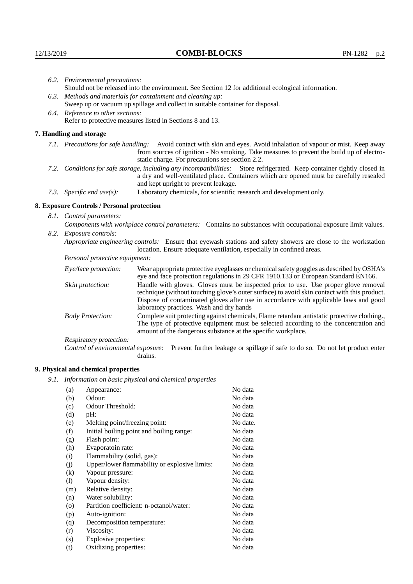|                                                                                                                         | 6.2. Environmental precautions:                                                                               |                                                                                                                                                                                                                                                                    |  |  |  |
|-------------------------------------------------------------------------------------------------------------------------|---------------------------------------------------------------------------------------------------------------|--------------------------------------------------------------------------------------------------------------------------------------------------------------------------------------------------------------------------------------------------------------------|--|--|--|
|                                                                                                                         | Should not be released into the environment. See Section 12 for additional ecological information.            |                                                                                                                                                                                                                                                                    |  |  |  |
|                                                                                                                         | 6.3. Methods and materials for containment and cleaning up:                                                   |                                                                                                                                                                                                                                                                    |  |  |  |
|                                                                                                                         |                                                                                                               | Sweep up or vacuum up spillage and collect in suitable container for disposal.                                                                                                                                                                                     |  |  |  |
|                                                                                                                         | 6.4. Reference to other sections:                                                                             |                                                                                                                                                                                                                                                                    |  |  |  |
|                                                                                                                         |                                                                                                               | Refer to protective measures listed in Sections 8 and 13.                                                                                                                                                                                                          |  |  |  |
|                                                                                                                         | 7. Handling and storage                                                                                       |                                                                                                                                                                                                                                                                    |  |  |  |
|                                                                                                                         |                                                                                                               | 7.1. Precautions for safe handling: Avoid contact with skin and eyes. Avoid inhalation of vapour or mist. Keep away<br>from sources of ignition - No smoking. Take measures to prevent the build up of electro-<br>static charge. For precautions see section 2.2. |  |  |  |
| 7.2. Conditions for safe storage, including any incompatibilities: Store refrigerated. Keep container tightly closed in |                                                                                                               | a dry and well-ventilated place. Containers which are opened must be carefully resealed<br>and kept upright to prevent leakage.                                                                                                                                    |  |  |  |
|                                                                                                                         | Laboratory chemicals, for scientific research and development only.<br>7.3. Specific end use(s):              |                                                                                                                                                                                                                                                                    |  |  |  |
|                                                                                                                         | 8. Exposure Controls / Personal protection                                                                    |                                                                                                                                                                                                                                                                    |  |  |  |
|                                                                                                                         | 8.1. Control parameters:                                                                                      |                                                                                                                                                                                                                                                                    |  |  |  |
|                                                                                                                         | Components with workplace control parameters: Contains no substances with occupational exposure limit values. |                                                                                                                                                                                                                                                                    |  |  |  |
|                                                                                                                         | 8.2. Exposure controls:                                                                                       |                                                                                                                                                                                                                                                                    |  |  |  |
|                                                                                                                         |                                                                                                               | Appropriate engineering controls: Ensure that eyewash stations and safety showers are close to the workstation<br>location. Ensure adequate ventilation, especially in confined areas.                                                                             |  |  |  |
|                                                                                                                         | Personal protective equipment:                                                                                |                                                                                                                                                                                                                                                                    |  |  |  |
|                                                                                                                         | Eye/face protection:                                                                                          | Wear appropriate protective eyeglasses or chemical safety goggles as described by OSHA's<br>eye and face protection regulations in 29 CFR 1910.133 or European Standard EN166.                                                                                     |  |  |  |
|                                                                                                                         | Skin protection:                                                                                              | Handle with gloves. Gloves must be inspected prior to use. Use proper glove removal<br>technique (without touching glove's outer surface) to avoid skin contact with this product.                                                                                 |  |  |  |

| Eye/face protection:               | Wear appropriate protective eyeglasses or chemical safety goggles as described by OSHA's<br>eye and face protection regulations in 29 CFR 1910.133 or European Standard EN166.                                                                                                                                         |                                                                                                                                                                                                                                                      |
|------------------------------------|------------------------------------------------------------------------------------------------------------------------------------------------------------------------------------------------------------------------------------------------------------------------------------------------------------------------|------------------------------------------------------------------------------------------------------------------------------------------------------------------------------------------------------------------------------------------------------|
| Skin protection:                   | Handle with gloves. Gloves must be inspected prior to use. Use proper glove removal<br>technique (without touching glove's outer surface) to avoid skin contact with this product.<br>Dispose of contaminated gloves after use in accordance with applicable laws and good<br>laboratory practices. Wash and dry hands |                                                                                                                                                                                                                                                      |
| <b>Body Protection:</b>            |                                                                                                                                                                                                                                                                                                                        | Complete suit protecting against chemicals, Flame retardant antistatic protective clothing.,<br>The type of protective equipment must be selected according to the concentration and<br>amount of the dangerous substance at the specific workplace. |
| Respiratory protection:            |                                                                                                                                                                                                                                                                                                                        |                                                                                                                                                                                                                                                      |
| Control of environmental exposure: | drains.                                                                                                                                                                                                                                                                                                                | Prevent further leakage or spillage if safe to do so. Do not let product enter                                                                                                                                                                       |

# **9. Physical and chemical properties**

*9.1. Information on basic physical and chemical properties*

| (a)                        | Appearance:                                   | No data  |
|----------------------------|-----------------------------------------------|----------|
| (b)                        | Odour:                                        | No data  |
| (c)                        | Odour Threshold:                              | No data  |
| (d)                        | $pH$ :                                        | No data  |
| (e)                        | Melting point/freezing point:                 | No date. |
| (f)                        | Initial boiling point and boiling range:      | No data  |
| (g)                        | Flash point:                                  | No data  |
| (h)                        | Evaporatoin rate:                             | No data  |
| (i)                        | Flammability (solid, gas):                    | No data  |
| (j)                        | Upper/lower flammability or explosive limits: | No data  |
| (k)                        | Vapour pressure:                              | No data  |
| $\left( \mathrm{l}\right)$ | Vapour density:                               | No data  |
| (m)                        | Relative density:                             | No data  |
| (n)                        | Water solubility:                             | No data  |
| $\rm (o)$                  | Partition coefficient: n-octanol/water:       | No data  |
| (p)                        | Auto-ignition:                                | No data  |
| (q)                        | Decomposition temperature:                    | No data  |
| (r)                        | Viscosity:                                    | No data  |
| (s)                        | Explosive properties:                         | No data  |
| (t)                        | Oxidizing properties:                         | No data  |